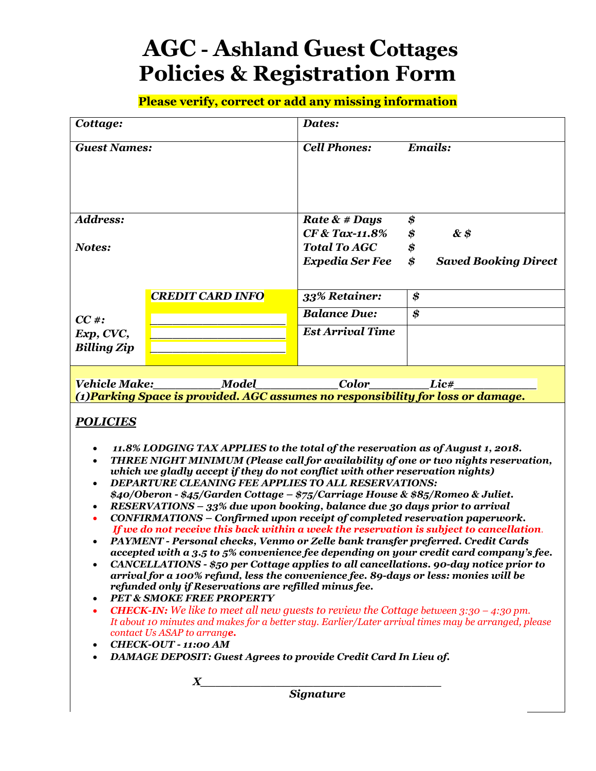# **AGC - Ashland Guest Cottages Policies & Registration Form**

**Please verify, correct or add any missing information**

| Emails:<br><b>Cell Phones:</b><br><b>Guest Names:</b><br><b>Address:</b><br>\$<br>Rate $\&$ # Days<br>CF & Tax-11.8%<br>&\$<br>\$<br><b>Total To AGC</b><br>\$<br>Notes:<br>\$<br><b>Expedia Ser Fee</b><br><b>Saved Booking Direct</b><br><b>CREDIT CARD INFO</b><br>33% Retainer:<br>\$<br><b>Balance Due:</b><br>\$<br>$CC \#$ :<br><b>Est Arrival Time</b><br>Exp, CVC,<br><b>Billing Zip</b><br>Vehicle Make:<br><b>Color</b><br>Model<br>Lic#<br>(1) Parking Space is provided. AGC assumes no responsibility for loss or damage.<br><b>POLICIES</b><br>11.8% LODGING TAX APPLIES to the total of the reservation as of August 1, 2018.<br>THREE NIGHT MINIMUM (Please call for availability of one or two nights reservation,<br>which we gladly accept if they do not conflict with other reservation nights)<br><b>DEPARTURE CLEANING FEE APPLIES TO ALL RESERVATIONS:</b><br>\$40/Oberon - \$45/Garden Cottage - \$75/Carriage House & \$85/Romeo & Juliet.<br>RESERVATIONS - 33% due upon booking, balance due 30 days prior to arrival<br>CONFIRMATIONS - Confirmed upon receipt of completed reservation paperwork.<br>If we do not receive this back within a week the reservation is subject to cancellation.<br>PAYMENT - Personal checks, Venmo or Zelle bank transfer preferred. Credit Cards<br>accepted with a 3.5 to 5% convenience fee depending on your credit card company's fee.<br>CANCELLATIONS - \$50 per Cottage applies to all cancellations. 90-day notice prior to<br>arrival for a 100% refund, less the convenience fee. 89-days or less: monies will be<br>refunded only if Reservations are refilled minus fee.<br><b>PET &amp; SMOKE FREE PROPERTY</b><br><b>CHECK-IN:</b> We like to meet all new guests to review the Cottage between $3:30 - 4:30$ pm.<br>$\bullet$<br>It about 10 minutes and makes for a better stay. Earlier/Later arrival times may be arranged, please<br>contact Us ASAP to arrange.<br><b>CHECK-OUT - 11:00 AM</b><br>$\bullet$<br><b>DAMAGE DEPOSIT: Guest Agrees to provide Credit Card In Lieu of.</b><br>$\boldsymbol{X}$<br><b>Signature</b> | Cottage: |  | Dates: |  |  |
|------------------------------------------------------------------------------------------------------------------------------------------------------------------------------------------------------------------------------------------------------------------------------------------------------------------------------------------------------------------------------------------------------------------------------------------------------------------------------------------------------------------------------------------------------------------------------------------------------------------------------------------------------------------------------------------------------------------------------------------------------------------------------------------------------------------------------------------------------------------------------------------------------------------------------------------------------------------------------------------------------------------------------------------------------------------------------------------------------------------------------------------------------------------------------------------------------------------------------------------------------------------------------------------------------------------------------------------------------------------------------------------------------------------------------------------------------------------------------------------------------------------------------------------------------------------------------------------------------------------------------------------------------------------------------------------------------------------------------------------------------------------------------------------------------------------------------------------------------------------------------------------------------------------------------------------------------------------------------------------------------------------------------------------------------------------------------------------------------------------|----------|--|--------|--|--|
|                                                                                                                                                                                                                                                                                                                                                                                                                                                                                                                                                                                                                                                                                                                                                                                                                                                                                                                                                                                                                                                                                                                                                                                                                                                                                                                                                                                                                                                                                                                                                                                                                                                                                                                                                                                                                                                                                                                                                                                                                                                                                                                  |          |  |        |  |  |
|                                                                                                                                                                                                                                                                                                                                                                                                                                                                                                                                                                                                                                                                                                                                                                                                                                                                                                                                                                                                                                                                                                                                                                                                                                                                                                                                                                                                                                                                                                                                                                                                                                                                                                                                                                                                                                                                                                                                                                                                                                                                                                                  |          |  |        |  |  |
|                                                                                                                                                                                                                                                                                                                                                                                                                                                                                                                                                                                                                                                                                                                                                                                                                                                                                                                                                                                                                                                                                                                                                                                                                                                                                                                                                                                                                                                                                                                                                                                                                                                                                                                                                                                                                                                                                                                                                                                                                                                                                                                  |          |  |        |  |  |
|                                                                                                                                                                                                                                                                                                                                                                                                                                                                                                                                                                                                                                                                                                                                                                                                                                                                                                                                                                                                                                                                                                                                                                                                                                                                                                                                                                                                                                                                                                                                                                                                                                                                                                                                                                                                                                                                                                                                                                                                                                                                                                                  |          |  |        |  |  |
|                                                                                                                                                                                                                                                                                                                                                                                                                                                                                                                                                                                                                                                                                                                                                                                                                                                                                                                                                                                                                                                                                                                                                                                                                                                                                                                                                                                                                                                                                                                                                                                                                                                                                                                                                                                                                                                                                                                                                                                                                                                                                                                  |          |  |        |  |  |
|                                                                                                                                                                                                                                                                                                                                                                                                                                                                                                                                                                                                                                                                                                                                                                                                                                                                                                                                                                                                                                                                                                                                                                                                                                                                                                                                                                                                                                                                                                                                                                                                                                                                                                                                                                                                                                                                                                                                                                                                                                                                                                                  |          |  |        |  |  |